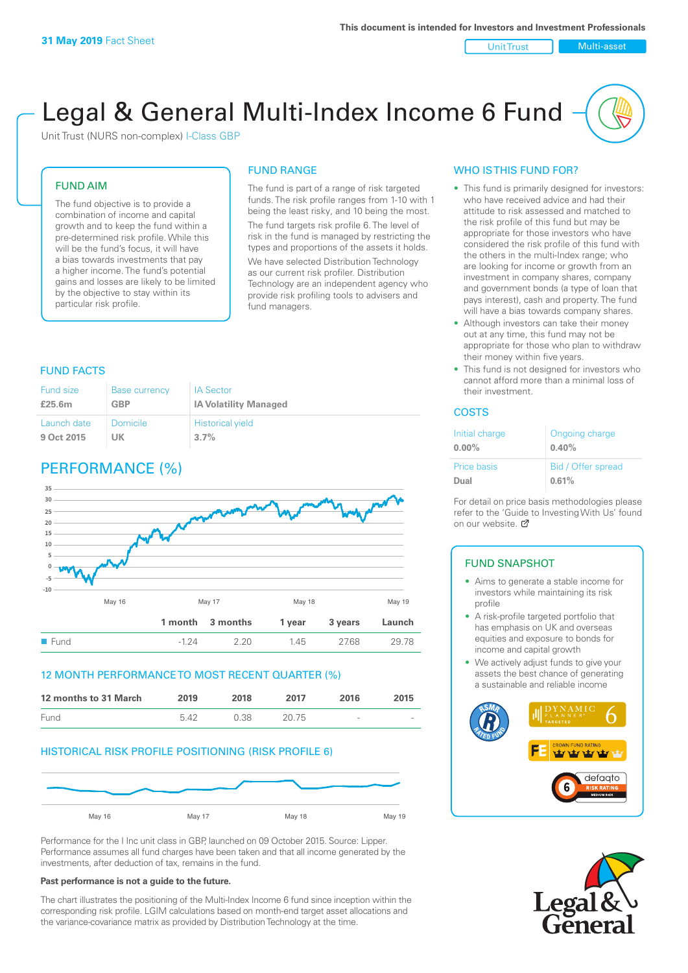Unit Trust Nulti-asset

# Legal & General Multi-Index Income 6 Fund

Unit Trust (NURS non-complex) I-Class GBP

#### FUND AIM

The fund objective is to provide a combination of income and capital growth and to keep the fund within a pre-determined risk profile. While this will be the fund's focus, it will have a bias towards investments that pay a higher income. The fund's potential gains and losses are likely to be limited by the objective to stay within its particular risk profile.

#### FUND RANGE

The fund is part of a range of risk targeted funds. The risk profile ranges from 1-10 with 1 being the least risky, and 10 being the most. The fund targets risk profile 6. The level of risk in the fund is managed by restricting the types and proportions of the assets it holds. We have selected Distribution Technology as our current risk profiler. Distribution Technology are an independent agency who provide risk profiling tools to advisers and fund managers.

#### FUND FACTS

| Fund size   | <b>Base currency</b> | <b>IA Sector</b>             |
|-------------|----------------------|------------------------------|
| £25.6m      | <b>GBP</b>           | <b>IA Volatility Managed</b> |
| Launch date | Domicile             | <b>Historical yield</b>      |
| 9 Oct 2015  | UK                   | 3.7%                         |

## PERFORMANCE (%)



#### 12 MONTH PERFORMANCE TO MOST RECENT QUARTER (%)



#### HISTORICAL RISK PROFILE POSITIONING (RISK PROFILE 6)



Performance for the I Inc unit class in GBP, launched on 09 October 2015. Source: Lipper. Performance assumes all fund charges have been taken and that all income generated by the investments, after deduction of tax, remains in the fund.

#### **Past performance is not a guide to the future.**

The chart illustrates the positioning of the Multi-Index Income 6 fund since inception within the corresponding risk profile. LGIM calculations based on month-end target asset allocations and the variance-covariance matrix as provided by Distribution Technology at the time.

#### WHO IS THIS FUND FOR?

- This fund is primarily designed for investors: who have received advice and had their attitude to risk assessed and matched to the risk profile of this fund but may be appropriate for those investors who have considered the risk profile of this fund with the others in the multi-Index range; who are looking for income or growth from an investment in company shares, company and government bonds (a type of loan that pays interest), cash and property. The fund will have a bias towards company shares.
- Although investors can take their money out at any time, this fund may not be appropriate for those who plan to withdraw their money within five years.
- This fund is not designed for investors who cannot afford more than a minimal loss of their investment.

#### **COSTS**

| Initial charge<br>$0.00\%$ | Ongoing charge<br>0.40% |
|----------------------------|-------------------------|
| <b>Price basis</b>         | Bid / Offer spread      |
| Dual                       | 0.61%                   |

For detail on price basis methodologies please refer to the 'Guide to Investing With Us' found on our website. [7]

#### FUND SNAPSHOT

- Aims to generate a stable income for investors while maintaining its risk profile
- A risk-profile targeted portfolio that has emphasis on UK and overseas equities and exposure to bonds for income and capital growth
- We actively adjust funds to give your assets the best chance of generating a sustainable and reliable income



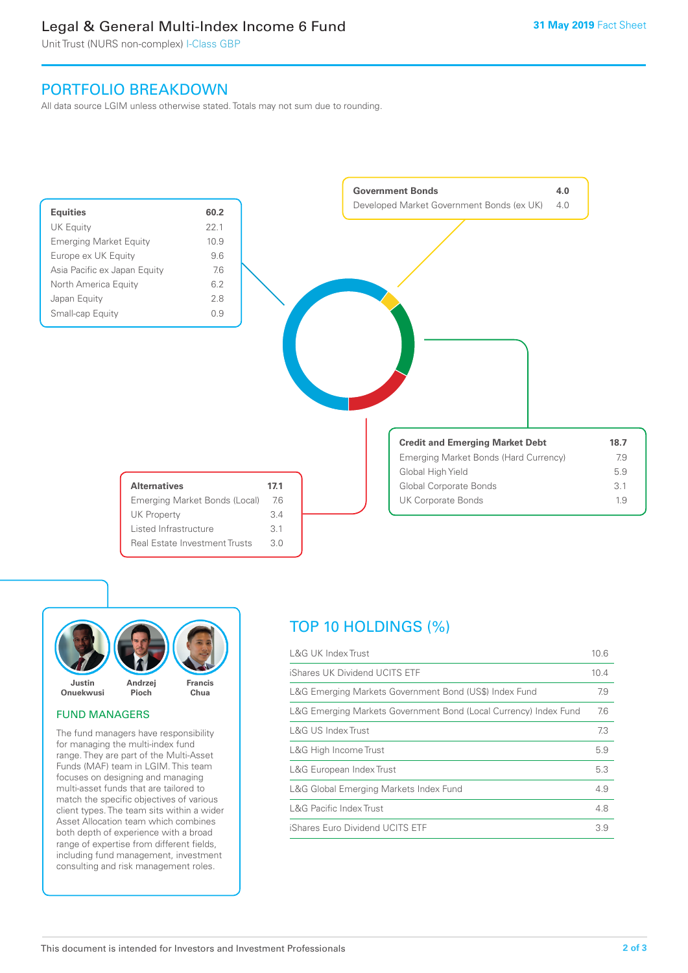### Legal & General Multi-Index Income 6 Fund

Unit Trust (NURS non-complex) I-Class GBP

### PORTFOLIO BREAKDOWN

All data source LGIM unless otherwise stated. Totals may not sum due to rounding.





#### FUND MANAGERS

The fund managers have responsibility for managing the multi-index fund range. They are part of the Multi-Asset Funds (MAF) team in LGIM. This team focuses on designing and managing multi-asset funds that are tailored to match the specific objectives of various client types. The team sits within a wider Asset Allocation team which combines both depth of experience with a broad range of expertise from different fields, including fund management, investment consulting and risk management roles.

# TOP 10 HOLDINGS (%)

| <b>L&amp;G UK Index Trust</b>                                    | 10.6 |
|------------------------------------------------------------------|------|
| iShares UK Dividend UCITS ETF                                    | 10.4 |
| L&G Emerging Markets Government Bond (US\$) Index Fund           | 7.9  |
| L&G Emerging Markets Government Bond (Local Currency) Index Fund | 7.6  |
| <b>L&amp;G US Index Trust</b>                                    | 7.3  |
| L&G High Income Trust                                            | 5.9  |
| L&G European Index Trust                                         | 5.3  |
| L&G Global Emerging Markets Index Fund                           | 4.9  |
| <b>L&amp;G Pacific Index Trust</b>                               | 4.8  |
| iShares Euro Dividend UCITS ETF                                  | 3.9  |